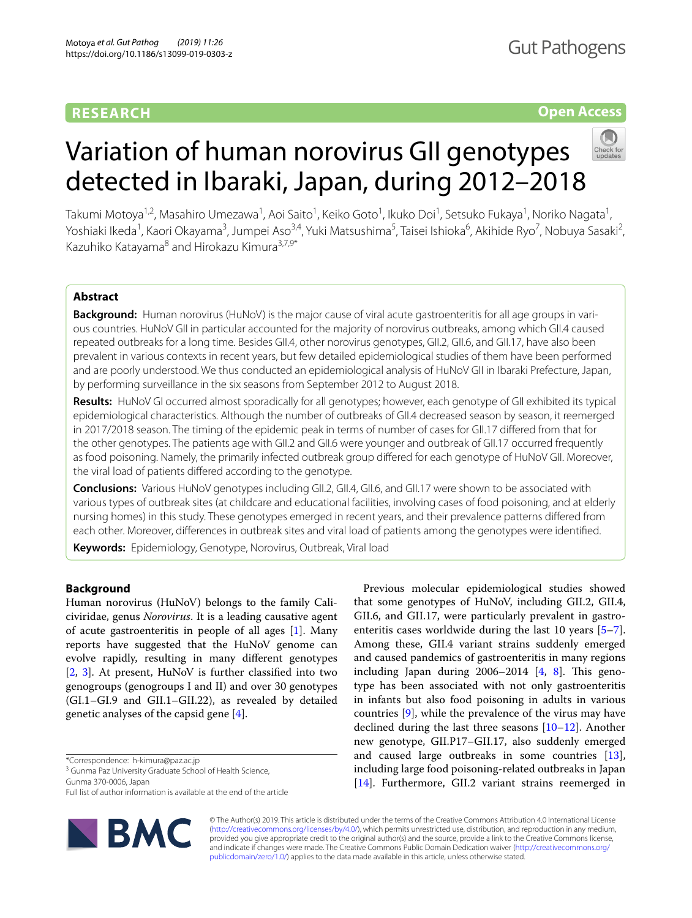# **RESEARCH**

# **Open Access**

# Variation of human norovirus GII genotypes detected in Ibaraki, Japan, during 2012–2018

Takumi Motoya<sup>1,2</sup>, Masahiro Umezawa<sup>1</sup>, Aoi Saito<sup>1</sup>, Keiko Goto<sup>1</sup>, Ikuko Doi<sup>1</sup>, Setsuko Fukaya<sup>1</sup>, Noriko Nagata<sup>1</sup>, Yoshiaki Ikeda<sup>1</sup>, Kaori Okayama<sup>3</sup>, Jumpei Aso<sup>3,4</sup>, Yuki Matsushima<sup>5</sup>, Taisei Ishioka<sup>6</sup>, Akihide Ryo<sup>7</sup>, Nobuya Sasaki<sup>2</sup>, Kazuhiko Katayama<sup>8</sup> and Hirokazu Kimura<sup>3,7,9\*</sup>

# **Abstract**

**Background:** Human norovirus (HuNoV) is the major cause of viral acute gastroenteritis for all age groups in various countries. HuNoV GII in particular accounted for the majority of norovirus outbreaks, among which GII.4 caused repeated outbreaks for a long time. Besides GII.4, other norovirus genotypes, GII.2, GII.6, and GII.17, have also been prevalent in various contexts in recent years, but few detailed epidemiological studies of them have been performed and are poorly understood. We thus conducted an epidemiological analysis of HuNoV GII in Ibaraki Prefecture, Japan, by performing surveillance in the six seasons from September 2012 to August 2018.

**Results:** HuNoV GI occurred almost sporadically for all genotypes; however, each genotype of GII exhibited its typical epidemiological characteristics. Although the number of outbreaks of GII.4 decreased season by season, it reemerged in 2017/2018 season. The timing of the epidemic peak in terms of number of cases for GII.17 difered from that for the other genotypes. The patients age with GII.2 and GII.6 were younger and outbreak of GII.17 occurred frequently as food poisoning. Namely, the primarily infected outbreak group difered for each genotype of HuNoV GII. Moreover, the viral load of patients difered according to the genotype.

**Conclusions:** Various HuNoV genotypes including GII.2, GII.4, GII.6, and GII.17 were shown to be associated with various types of outbreak sites (at childcare and educational facilities, involving cases of food poisoning, and at elderly nursing homes) in this study. These genotypes emerged in recent years, and their prevalence patterns difered from each other. Moreover, diferences in outbreak sites and viral load of patients among the genotypes were identifed.

**Keywords:** Epidemiology, Genotype, Norovirus, Outbreak, Viral load

# **Background**

Human norovirus (HuNoV) belongs to the family Caliciviridae, genus *Norovirus*. It is a leading causative agent of acute gastroenteritis in people of all ages [[1\]](#page-13-0). Many reports have suggested that the HuNoV genome can evolve rapidly, resulting in many diferent genotypes [[2,](#page-13-1) [3\]](#page-13-2). At present, HuNoV is further classifed into two genogroups (genogroups I and II) and over 30 genotypes (GI.1–GI.9 and GII.1–GII.22), as revealed by detailed genetic analyses of the capsid gene [[4\]](#page-13-3).

Gunma 370‑0006, Japan

Full list of author information is available at the end of the article



Previous molecular epidemiological studies showed that some genotypes of HuNoV, including GII.2, GII.4, GII.6, and GII.17, were particularly prevalent in gastroenteritis cases worldwide during the last 10 years [\[5](#page-13-4)[–7](#page-13-5)]. Among these, GII.4 variant strains suddenly emerged and caused pandemics of gastroenteritis in many regions including Japan during  $2006-2014$   $[4, 8]$  $[4, 8]$  $[4, 8]$  $[4, 8]$  $[4, 8]$ . This genotype has been associated with not only gastroenteritis in infants but also food poisoning in adults in various countries [\[9\]](#page-13-7), while the prevalence of the virus may have declined during the last three seasons  $[10-12]$  $[10-12]$  $[10-12]$ . Another new genotype, GII.P17–GII.17, also suddenly emerged and caused large outbreaks in some countries [\[13](#page-13-10)], including large food poisoning-related outbreaks in Japan [[14\]](#page-13-11). Furthermore, GII.2 variant strains reemerged in

© The Author(s) 2019. This article is distributed under the terms of the Creative Commons Attribution 4.0 International License [\(http://creativecommons.org/licenses/by/4.0/\)](http://creativecommons.org/licenses/by/4.0/), which permits unrestricted use, distribution, and reproduction in any medium, provided you give appropriate credit to the original author(s) and the source, provide a link to the Creative Commons license, and indicate if changes were made. The Creative Commons Public Domain Dedication waiver ([http://creativecommons.org/](http://creativecommons.org/publicdomain/zero/1.0/) [publicdomain/zero/1.0/](http://creativecommons.org/publicdomain/zero/1.0/)) applies to the data made available in this article, unless otherwise stated.

<sup>\*</sup>Correspondence: h‑kimura@paz.ac.jp

<sup>&</sup>lt;sup>3</sup> Gunma Paz University Graduate School of Health Science,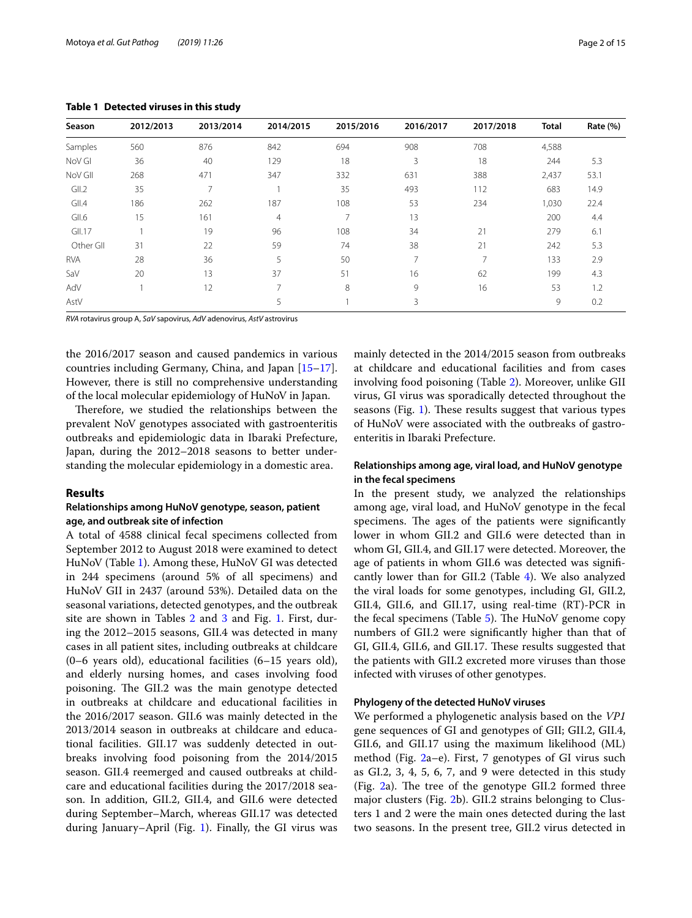| Table 1 Detected viruses in this study |           |           |                |           |           |           |              |                 |  |
|----------------------------------------|-----------|-----------|----------------|-----------|-----------|-----------|--------------|-----------------|--|
| Season                                 | 2012/2013 | 2013/2014 | 2014/2015      | 2015/2016 | 2016/2017 | 2017/2018 | <b>Total</b> | <b>Rate (%)</b> |  |
| <b>Samples</b>                         | 560       | 876       | 842            | 694       | 908       | 708       | 4,588        |                 |  |
| NoV GI                                 | 36        | 40        | 129            | 18        | 3         | 18        | 244          | 5.3             |  |
| NoV GII                                | 268       | 471       | 347            | 332       | 631       | 388       | 2,437        | 53.1            |  |
| GII.2                                  | 35        |           |                | 35        | 493       | 112       | 683          | 14.9            |  |
| GII.4                                  | 186       | 262       | 187            | 108       | 53        | 234       | 1,030        | 22.4            |  |
| GII.6                                  | 15        | 161       | $\overline{4}$ |           | 13        |           | 200          | 4.4             |  |
| GII.17                                 |           | 19        | 96             | 108       | 34        | 21        | 279          | 6.1             |  |
| Other GII                              | 31        | 22        | 59             | 74        | 38        | 21        | 242          | 5.3             |  |

RVA 28 36 5 50 7 7 133 2.9 SaV 20 13 37 51 16 62 199 4.3 AdV 1 12 7 8 9 16 53 1.2 AstV 3 9 0.2

<span id="page-1-0"></span> $Table$ 

*RVA* rotavirus group A, *SaV* sapovirus, *AdV* adenovirus, *AstV* astrovirus

the 2016/2017 season and caused pandemics in various countries including Germany, China, and Japan [[15](#page-13-12)[–17](#page-13-13)]. However, there is still no comprehensive understanding of the local molecular epidemiology of HuNoV in Japan.

Therefore, we studied the relationships between the prevalent NoV genotypes associated with gastroenteritis outbreaks and epidemiologic data in Ibaraki Prefecture, Japan, during the 2012–2018 seasons to better understanding the molecular epidemiology in a domestic area.

#### **Results**

# **Relationships among HuNoV genotype, season, patient age, and outbreak site of infection**

A total of 4588 clinical fecal specimens collected from September 2012 to August 2018 were examined to detect HuNoV (Table [1\)](#page-1-0). Among these, HuNoV GI was detected in 244 specimens (around 5% of all specimens) and HuNoV GII in 2437 (around 53%). Detailed data on the seasonal variations, detected genotypes, and the outbreak site are shown in Tables [2](#page-2-0) and [3](#page-3-0) and Fig. [1](#page-4-0). First, during the 2012–2015 seasons, GII.4 was detected in many cases in all patient sites, including outbreaks at childcare (0–6 years old), educational facilities (6–15 years old), and elderly nursing homes, and cases involving food poisoning. The GII.2 was the main genotype detected in outbreaks at childcare and educational facilities in the 2016/2017 season. GII.6 was mainly detected in the 2013/2014 season in outbreaks at childcare and educational facilities. GII.17 was suddenly detected in outbreaks involving food poisoning from the 2014/2015 season. GII.4 reemerged and caused outbreaks at childcare and educational facilities during the 2017/2018 season. In addition, GII.2, GII.4, and GII.6 were detected during September–March, whereas GII.17 was detected during January–April (Fig. [1](#page-4-0)). Finally, the GI virus was mainly detected in the 2014/2015 season from outbreaks at childcare and educational facilities and from cases involving food poisoning (Table [2](#page-2-0)). Moreover, unlike GII virus, GI virus was sporadically detected throughout the seasons (Fig.  $1$ ). These results suggest that various types of HuNoV were associated with the outbreaks of gastroenteritis in Ibaraki Prefecture.

# **Relationships among age, viral load, and HuNoV genotype in the fecal specimens**

In the present study, we analyzed the relationships among age, viral load, and HuNoV genotype in the fecal specimens. The ages of the patients were significantly lower in whom GII.2 and GII.6 were detected than in whom GI, GII.4, and GII.17 were detected. Moreover, the age of patients in whom GII.6 was detected was signifcantly lower than for GII.2 (Table [4](#page-5-0)). We also analyzed the viral loads for some genotypes, including GI, GII.2, GII.4, GII.6, and GII.17, using real-time (RT)-PCR in the fecal specimens (Table [5](#page-5-1)). The HuNoV genome copy numbers of GII.2 were signifcantly higher than that of GI, GII.4, GII.6, and GII.17. These results suggested that the patients with GII.2 excreted more viruses than those infected with viruses of other genotypes.

#### **Phylogeny of the detected HuNoV viruses**

We performed a phylogenetic analysis based on the *VP1* gene sequences of GI and genotypes of GII; GII.2, GII.4, GII.6, and GII.17 using the maximum likelihood (ML) method (Fig. [2](#page-6-0)a–e). First, 7 genotypes of GI virus such as GI.2, 3, 4, 5, 6, 7, and 9 were detected in this study (Fig.  $2a$ ). The tree of the genotype GII.2 formed three major clusters (Fig. [2b](#page-6-0)). GII.2 strains belonging to Clusters 1 and 2 were the main ones detected during the last two seasons. In the present tree, GII.2 virus detected in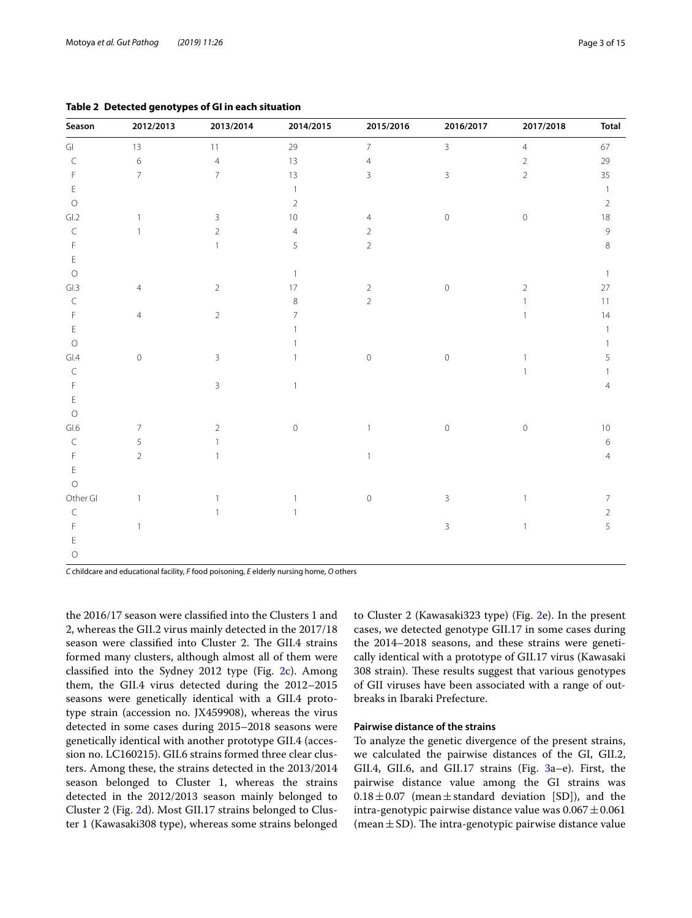| Season              | 2012/2013      | 2013/2014      | 2014/2015      | 2015/2016      | 2016/2017      | 2017/2018      | <b>Total</b>   |
|---------------------|----------------|----------------|----------------|----------------|----------------|----------------|----------------|
| Gl                  | 13             | 11             | 29             | $\overline{7}$ | $\overline{3}$ | $\sqrt{4}$     | 67             |
| $\subset$           | $\,$ 6 $\,$    | $\overline{4}$ | 13             | $\overline{4}$ |                | $\overline{2}$ | 29             |
| F                   | $\overline{7}$ | $\overline{7}$ | 13             | $\overline{3}$ | $\mathsf 3$    | $\mathbf 2$    | 35             |
| $\mathsf E$         |                |                | -1             |                |                |                | $\mathbf{1}$   |
| $\circlearrowright$ |                |                | $\overline{2}$ |                |                |                | $\sqrt{2}$     |
| GL2                 | $\mathbf{1}$   | 3              | 10             | 4              | $\circ$        | $\mathbb O$    | 18             |
| $\mathsf C$         | $\mathbf{1}$   | $\overline{2}$ | $\overline{4}$ | 2              |                |                | $\mathsf 9$    |
| $\mathsf F$         |                |                | 5              | $\overline{2}$ |                |                | 8              |
| $\mathsf E$         |                |                |                |                |                |                |                |
| $\circ$             |                |                | $\mathbf{1}$   |                |                |                | $\overline{1}$ |
| GL3                 | $\overline{4}$ | $\overline{2}$ | 17             | $\overline{c}$ | $\mathbf 0$    | $\overline{2}$ | $27\,$         |
| $\mathsf C$         |                |                | 8              | $\overline{2}$ |                | 1              | $11$           |
| $\mathsf F$         | $\overline{4}$ | $\overline{2}$ | 7              |                |                | $\mathbf{1}$   | 14             |
| $\mathsf E$         |                |                |                |                |                |                | $\mathbf{1}$   |
| $\bigcirc$          |                |                |                |                |                |                | 1              |
| GL4                 | $\mathbb O$    | 3              | 1              | $\mathbb O$    | $\mathbb O$    | 1              | 5              |
| $\subset$           |                |                |                |                |                |                | 1              |
| $\mathsf F$         |                | 3              | 1              |                |                |                | $\overline{4}$ |
| $\mathsf E$         |                |                |                |                |                |                |                |
| $\circ$             |                |                |                |                |                |                |                |
| GL6                 | $\overline{7}$ | $\overline{2}$ | $\mathbf 0$    | $\mathbf{1}$   | $\mathbf 0$    | $\mathbf 0$    | $10$           |
| $\subset$           | 5              |                |                |                |                |                | 6              |
| F                   | $\overline{2}$ |                |                | $\mathbf{1}$   |                |                | 4              |
| Ε                   |                |                |                |                |                |                |                |
| $\circ$             |                |                |                |                |                |                |                |
| Other Gl            | $\mathbf{1}$   |                | 1              | $\mathbb O$    | $\mathbf{3}$   | $\mathbf{1}$   | $\overline{7}$ |
| $\subset$           |                |                | $\mathbf{1}$   |                |                |                | $\overline{2}$ |
| F                   | $\mathbf{1}$   |                |                |                | 3              | $\mathbf{1}$   | 5              |
| F                   |                |                |                |                |                |                |                |

<span id="page-2-0"></span>**Table 2 Detected genotypes of GI in each situation**

*C* childcare and educational facility, *F* food poisoning, *E* elderly nursing home, *O* others

O

the 2016/17 season were classifed into the Clusters 1 and 2, whereas the GII.2 virus mainly detected in the 2017/18 season were classified into Cluster 2. The GII.4 strains formed many clusters, although almost all of them were classifed into the Sydney 2012 type (Fig. [2c](#page-6-0)). Among them, the GII.4 virus detected during the 2012–2015 seasons were genetically identical with a GII.4 prototype strain (accession no. JX459908), whereas the virus detected in some cases during 2015–2018 seasons were genetically identical with another prototype GII.4 (accession no. LC160215). GII.6 strains formed three clear clusters. Among these, the strains detected in the 2013/2014 season belonged to Cluster 1, whereas the strains detected in the 2012/2013 season mainly belonged to Cluster 2 (Fig. [2](#page-6-0)d). Most GII.17 strains belonged to Cluster 1 (Kawasaki308 type), whereas some strains belonged to Cluster 2 (Kawasaki323 type) (Fig. [2](#page-6-0)e). In the present cases, we detected genotype GII.17 in some cases during the 2014–2018 seasons, and these strains were genetically identical with a prototype of GII.17 virus (Kawasaki 308 strain). These results suggest that various genotypes of GII viruses have been associated with a range of outbreaks in Ibaraki Prefecture.

# **Pairwise distance of the strains**

To analyze the genetic divergence of the present strains, we calculated the pairwise distances of the GI, GII.2, GII.4, GII.6, and GII.17 strains (Fig. [3a](#page-11-0)–e). First, the pairwise distance value among the GI strains was  $0.18 \pm 0.07$  (mean  $\pm$  standard deviation [SD]), and the intra-genotypic pairwise distance value was  $0.067 \pm 0.061$ (mean $\pm$ SD). The intra-genotypic pairwise distance value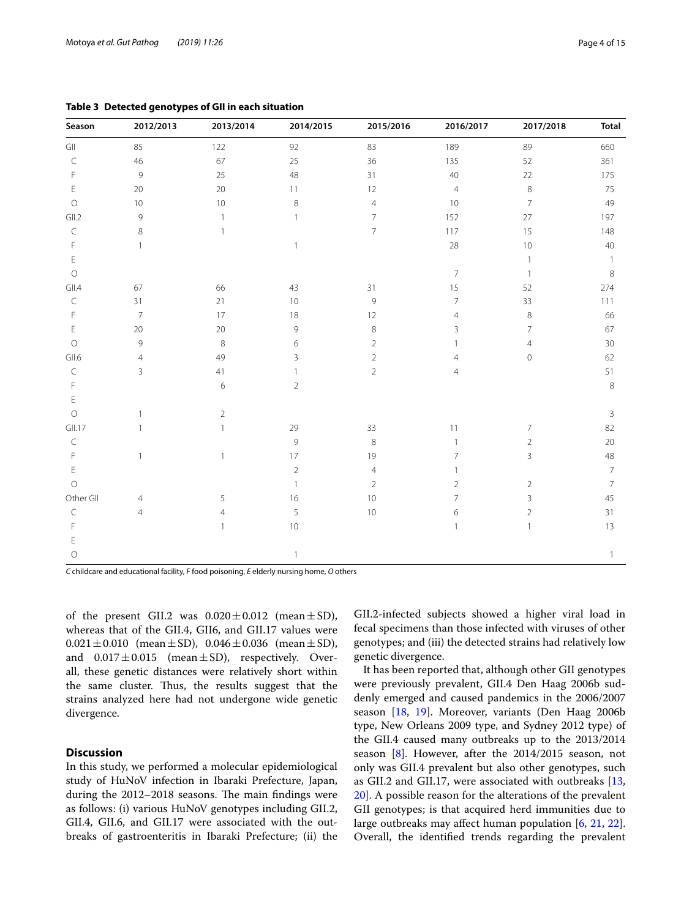| Season      | 2012/2013      | 2013/2014      | 2014/2015      | 2015/2016      | 2016/2017      | 2017/2018      | <b>Total</b>   |  |  |
|-------------|----------------|----------------|----------------|----------------|----------------|----------------|----------------|--|--|
| GII         | 85             | 122            | 92             | 83             | 189            | 89             | 660            |  |  |
| C           | 46             | 67             | 25             | 36             | 135            | 52             | 361            |  |  |
| F           | $\mathsf 9$    | 25             | 48             | 31             | 40             | 22             | 175            |  |  |
| Ε           | $20\,$         | $20\,$         | 11             | 12             | $\overline{4}$ | 8              | 75             |  |  |
| $\circ$     | 10             | $10$           | $\,$ 8 $\,$    | $\overline{4}$ | 10             | $\overline{7}$ | 49             |  |  |
| GII.2       | 9              | -1             | 1              | $\overline{7}$ | 152            | 27             | 197            |  |  |
| $\subset$   | 8              |                |                | $\overline{7}$ | 117            | 15             | 148            |  |  |
| $\mathsf F$ | 1              |                | 1              |                | 28             | 10             | 40             |  |  |
| $\mathsf E$ |                |                |                |                |                | $\mathbf{1}$   | $\overline{1}$ |  |  |
| $\bigcirc$  |                |                |                |                | $\overline{7}$ | $\overline{1}$ | 8              |  |  |
| GII.4       | 67             | 66             | 43             | 31             | 15             | 52             | 274            |  |  |
| $\subset$   | 31             | 21             | 10             | 9              | $\overline{7}$ | 33             | 111            |  |  |
| F           | $\overline{7}$ | 17             | 18             | 12             | $\overline{4}$ | 8              | 66             |  |  |
| Ε           | 20             | $20\,$         | 9              | 8              | 3              | $\overline{7}$ | 67             |  |  |
| $\circ$     | 9              | $\,8\,$        | 6              | $\overline{2}$ | 1              | $\overline{4}$ | 30             |  |  |
| GII.6       | $\overline{4}$ | 49             | 3              | $\overline{2}$ | $\overline{4}$ | $\mathbf 0$    | 62             |  |  |
| $\subset$   | 3              | 41             | $\mathbf{1}$   | $\overline{2}$ | $\overline{4}$ |                | 51             |  |  |
| F           |                | 6              | $\overline{2}$ |                |                |                | 8              |  |  |
| Ε           |                |                |                |                |                |                |                |  |  |
| $\circ$     |                | $\overline{2}$ |                |                |                |                | $\overline{3}$ |  |  |
| GII.17      |                |                | 29             | 33             | 11             | 7              | 82             |  |  |
| $\subset$   |                |                | 9              | 8              | 1              | $\overline{2}$ | 20             |  |  |
| F           |                | 1              | $17\,$         | 19             | 7              | $\mathsf 3$    | 48             |  |  |
| Ε           |                |                | $\sqrt{2}$     | $\overline{4}$ |                |                | $\overline{7}$ |  |  |
| $\circ$     |                |                | $\mathbf{1}$   | $\overline{2}$ | 2              | $\overline{2}$ | $\overline{7}$ |  |  |
| Other Gll   | 4              | 5              | 16             | 10             | 7              | 3              | 45             |  |  |
| C           | $\overline{4}$ | $\overline{4}$ | 5              | 10             | 6              | 2              | 31             |  |  |
| F           |                |                | 10             |                | 1              | $\mathbf{1}$   | 13             |  |  |
| E           |                |                |                |                |                |                |                |  |  |

O 1 1

<span id="page-3-0"></span>**Table 3 Detected genotypes of GII in each situation**

*C* childcare and educational facility, *F* food poisoning, *E* elderly nursing home, *O* others

of the present GII.2 was  $0.020 \pm 0.012$  (mean  $\pm$  SD), whereas that of the GII.4, GII6, and GII.17 values were  $0.021 \pm 0.010$  (mean  $\pm$  SD),  $0.046 \pm 0.036$  (mean  $\pm$  SD), and  $0.017 \pm 0.015$  (mean  $\pm$  SD), respectively. Overall, these genetic distances were relatively short within the same cluster. Thus, the results suggest that the strains analyzed here had not undergone wide genetic divergence.

# **Discussion**

In this study, we performed a molecular epidemiological study of HuNoV infection in Ibaraki Prefecture, Japan, during the 2012–2018 seasons. The main findings were as follows: (i) various HuNoV genotypes including GII.2, GII.4, GII.6, and GII.17 were associated with the outbreaks of gastroenteritis in Ibaraki Prefecture; (ii) the

GII.2-infected subjects showed a higher viral load in fecal specimens than those infected with viruses of other genotypes; and (iii) the detected strains had relatively low genetic divergence.

It has been reported that, although other GII genotypes were previously prevalent, GII.4 Den Haag 2006b suddenly emerged and caused pandemics in the 2006/2007 season [\[18](#page-13-14), [19](#page-13-15)]. Moreover, variants (Den Haag 2006b type, New Orleans 2009 type, and Sydney 2012 type) of the GII.4 caused many outbreaks up to the 2013/2014 season [\[8](#page-13-6)]. However, after the 2014/2015 season, not only was GII.4 prevalent but also other genotypes, such as GII.2 and GII.17, were associated with outbreaks [[13](#page-13-10), [20\]](#page-13-16). A possible reason for the alterations of the prevalent GII genotypes; is that acquired herd immunities due to large outbreaks may afect human population [\[6](#page-13-17), [21](#page-14-0), [22](#page-14-1)]. Overall, the identifed trends regarding the prevalent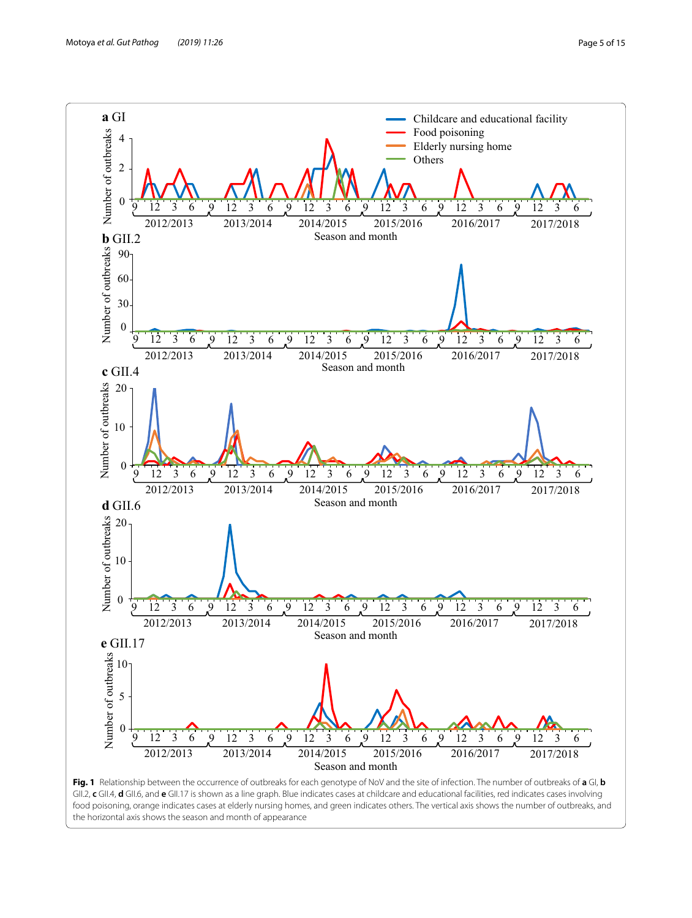

<span id="page-4-0"></span>**Fig. 1** Relationship between the occurrence of outbreaks for each genotype of NoV and the site of infection. The number of outbreaks of **a** GI, **b** GII.2, **c** GII.4, **d** GII.6, and **e** GII.17 is shown as a line graph. Blue indicates cases at childcare and educational facilities, red indicates cases involving food poisoning, orange indicates cases at elderly nursing homes, and green indicates others. The vertical axis shows the number of outbreaks, and the horizontal axis shows the season and month of appearance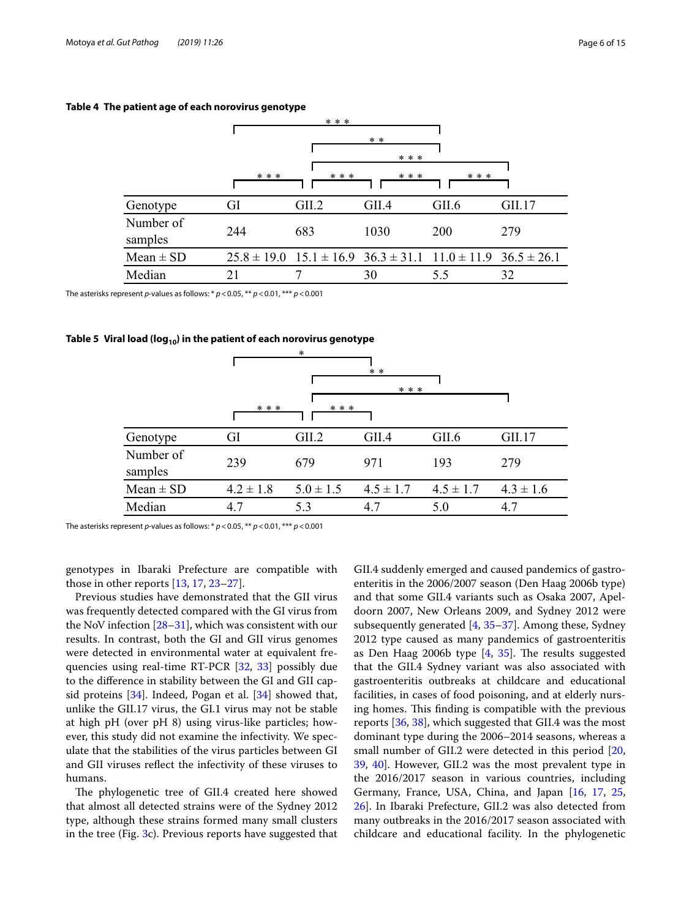|                      | * * * |                                                                                 |       |            |        |  |  |
|----------------------|-------|---------------------------------------------------------------------------------|-------|------------|--------|--|--|
|                      |       |                                                                                 | $* *$ |            |        |  |  |
|                      |       | * * *                                                                           |       |            |        |  |  |
|                      | * * * | * * *                                                                           | * * * | * * *      |        |  |  |
| Genotype             | GI    | GII.2                                                                           | GII.4 | GII.6      | GII.17 |  |  |
| Number of<br>samples | 244   | 683                                                                             | 1030  | <b>200</b> | 279    |  |  |
| $Mean \pm SD$        |       | $25.8 \pm 19.0$ $15.1 \pm 16.9$ $36.3 \pm 31.1$ $11.0 \pm 11.9$ $36.5 \pm 26.1$ |       |            |        |  |  |
| Median               | 21    |                                                                                 | 30    | 5.5        | 32     |  |  |

### <span id="page-5-0"></span>**Table 4 The patient age of each norovirus genotype**

The asterisks represent *p*-values as follows: \* *p*<0.05, \*\* *p*<0.01, \*\*\* *p*<0.001

# <span id="page-5-1"></span>Table 5 Viral load (log<sub>10</sub>) in the patient of each norovirus genotype

|                      |               | ∗             | $* *$<br>$* * *$ |               |               |  |  |
|----------------------|---------------|---------------|------------------|---------------|---------------|--|--|
|                      | * * *         | * * *         |                  |               |               |  |  |
| Genotype             | GI            | GII.2         | GII.4            | GII.6         | GII.17        |  |  |
| Number of<br>samples | 239           | 679           | 971              | 193           | 279           |  |  |
| $Mean \pm SD$        | $4.2 \pm 1.8$ | $5.0 \pm 1.5$ | $4.5 \pm 1.7$    | $4.5 \pm 1.7$ | $4.3 \pm 1.6$ |  |  |
| Median               | 4.7           | 5.3           | 4.7              | 5.0           | 4.7           |  |  |

The asterisks represent *p*-values as follows: \* *p*<0.05, \*\* *p*<0.01, \*\*\* *p*<0.001

genotypes in Ibaraki Prefecture are compatible with those in other reports [\[13,](#page-13-10) [17](#page-13-13), [23–](#page-14-2)[27](#page-14-3)].

Previous studies have demonstrated that the GII virus was frequently detected compared with the GI virus from the NoV infection [[28](#page-14-4)[–31](#page-14-5)], which was consistent with our results. In contrast, both the GI and GII virus genomes were detected in environmental water at equivalent frequencies using real-time RT-PCR [\[32](#page-14-6), [33](#page-14-7)] possibly due to the diference in stability between the GI and GII capsid proteins [\[34](#page-14-8)]. Indeed, Pogan et al. [[34\]](#page-14-8) showed that, unlike the GII.17 virus, the GI.1 virus may not be stable at high pH (over pH 8) using virus-like particles; however, this study did not examine the infectivity. We speculate that the stabilities of the virus particles between GI and GII viruses refect the infectivity of these viruses to humans.

The phylogenetic tree of GII.4 created here showed that almost all detected strains were of the Sydney 2012 type, although these strains formed many small clusters in the tree (Fig. [3](#page-11-0)c). Previous reports have suggested that GII.4 suddenly emerged and caused pandemics of gastroenteritis in the 2006/2007 season (Den Haag 2006b type) and that some GII.4 variants such as Osaka 2007, Apeldoorn 2007, New Orleans 2009, and Sydney 2012 were subsequently generated [[4,](#page-13-3) [35](#page-14-9)[–37](#page-14-10)]. Among these, Sydney 2012 type caused as many pandemics of gastroenteritis as Den Haag 2006b type  $[4, 35]$  $[4, 35]$  $[4, 35]$  $[4, 35]$ . The results suggested that the GII.4 Sydney variant was also associated with gastroenteritis outbreaks at childcare and educational facilities, in cases of food poisoning, and at elderly nursing homes. This finding is compatible with the previous reports [\[36](#page-14-11), [38\]](#page-14-12), which suggested that GII.4 was the most dominant type during the 2006–2014 seasons, whereas a small number of GII.2 were detected in this period [[20](#page-13-16), [39,](#page-14-13) [40](#page-14-14)]. However, GII.2 was the most prevalent type in the 2016/2017 season in various countries, including Germany, France, USA, China, and Japan [[16,](#page-13-18) [17,](#page-13-13) [25](#page-14-15), [26\]](#page-14-16). In Ibaraki Prefecture, GII.2 was also detected from many outbreaks in the 2016/2017 season associated with childcare and educational facility. In the phylogenetic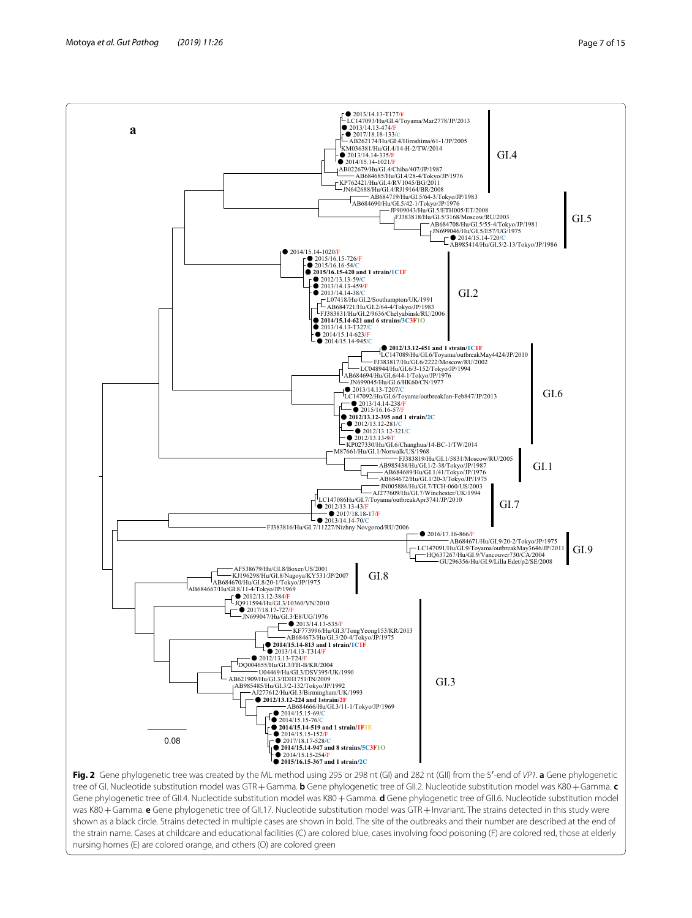

<span id="page-6-0"></span>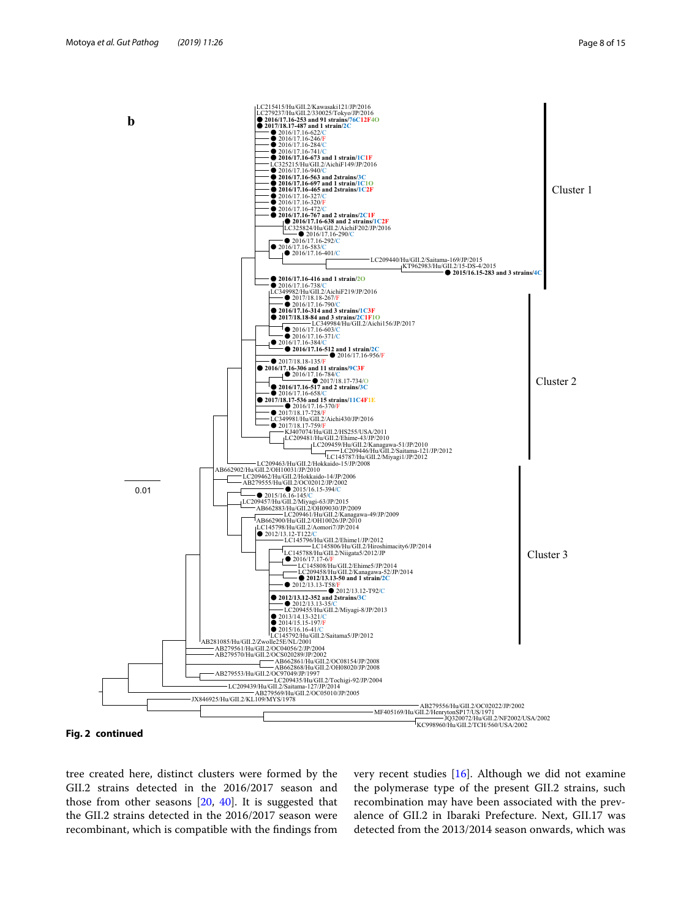

**Fig. 2 continued**

tree created here, distinct clusters were formed by the GII.2 strains detected in the 2016/2017 season and those from other seasons  $[20, 40]$  $[20, 40]$  $[20, 40]$  $[20, 40]$ . It is suggested that the GII.2 strains detected in the 2016/2017 season were recombinant, which is compatible with the fndings from very recent studies [[16\]](#page-13-18). Although we did not examine the polymerase type of the present GII.2 strains, such recombination may have been associated with the prevalence of GII.2 in Ibaraki Prefecture. Next, GII.17 was detected from the 2013/2014 season onwards, which was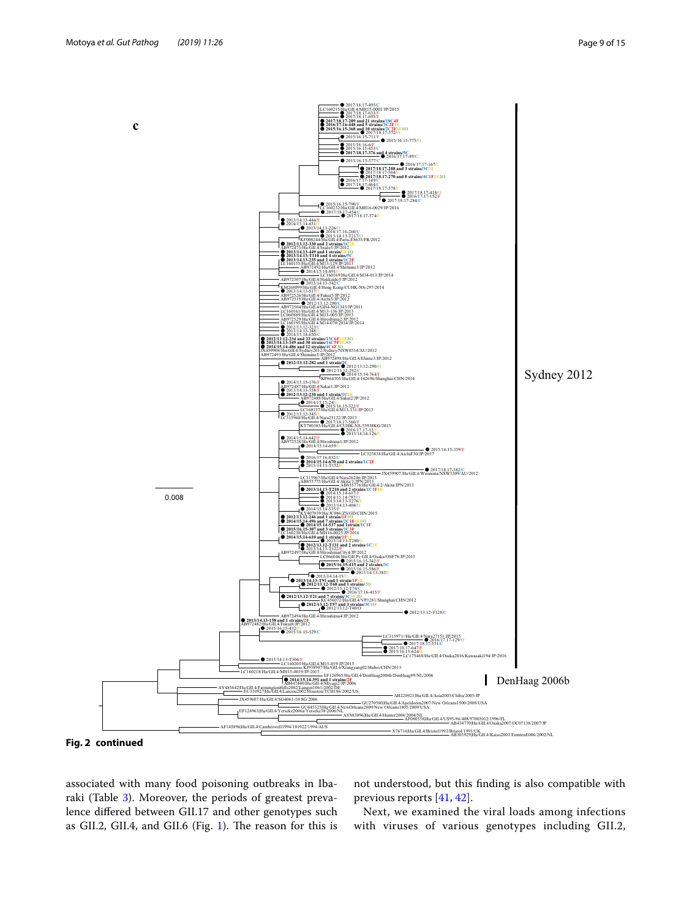

**Fig. 2 continued**

associated with many food poisoning outbreaks in Iba-raki (Table [3](#page-3-0)). Moreover, the periods of greatest prevalence difered between GII.17 and other genotypes such as GII.2, GII.4, and GII.6 (Fig. [1\)](#page-4-0). The reason for this is not understood, but this fnding is also compatible with previous reports [[41](#page-14-17), [42\]](#page-14-18).

Next, we examined the viral loads among infections with viruses of various genotypes including GII.2,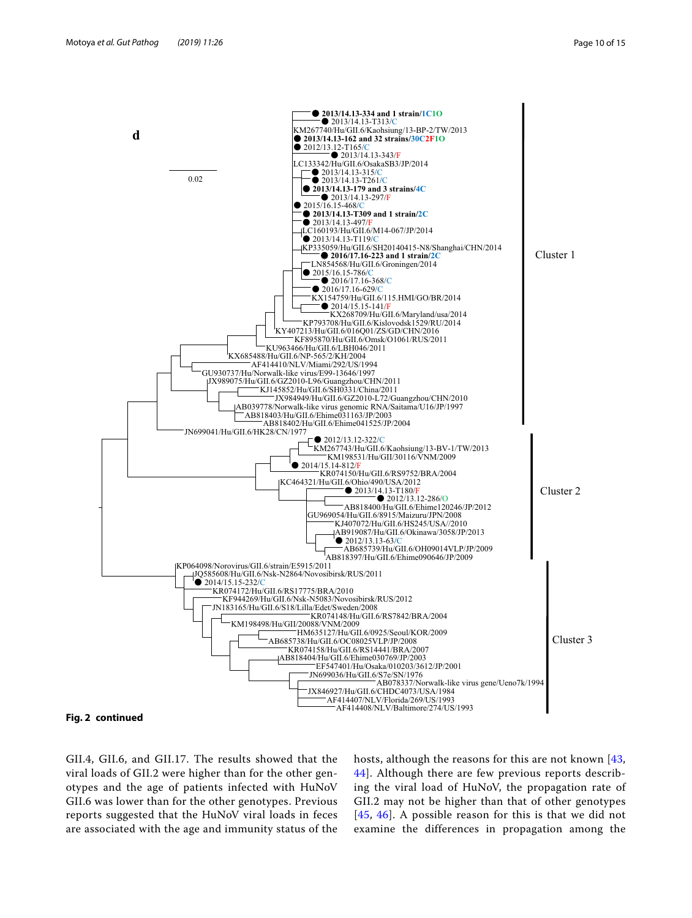

#### **Fig. 2 continued**

GII.4, GII.6, and GII.17. The results showed that the viral loads of GII.2 were higher than for the other genotypes and the age of patients infected with HuNoV GII.6 was lower than for the other genotypes. Previous reports suggested that the HuNoV viral loads in feces are associated with the age and immunity status of the hosts, although the reasons for this are not known [[43](#page-14-19), [44\]](#page-14-20). Although there are few previous reports describing the viral load of HuNoV, the propagation rate of GII.2 may not be higher than that of other genotypes [[45](#page-14-21), [46\]](#page-14-22). A possible reason for this is that we did not examine the differences in propagation among the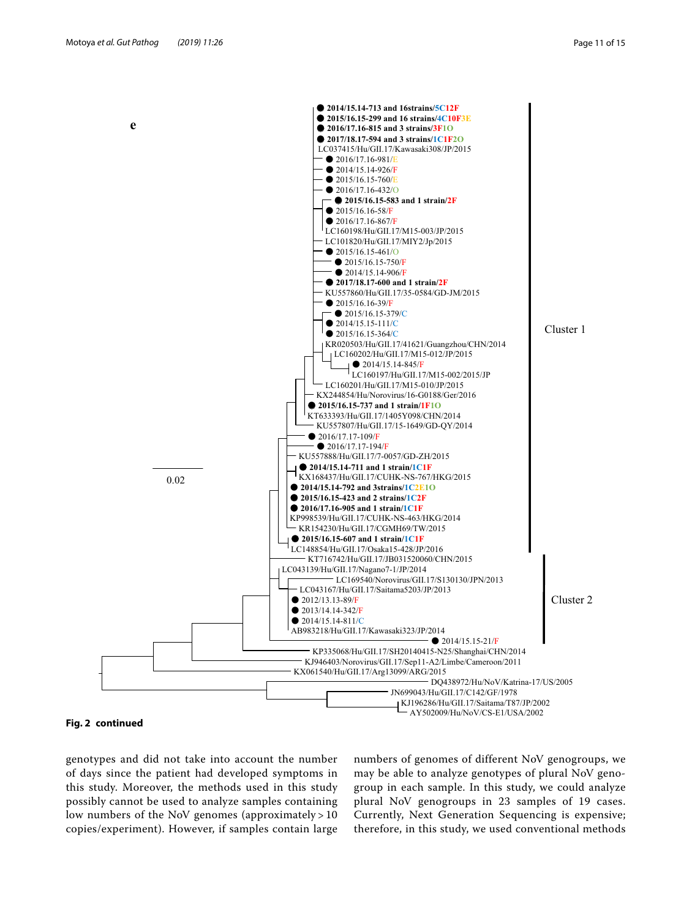

#### **Fig. 2 continued**

genotypes and did not take into account the number of days since the patient had developed symptoms in this study. Moreover, the methods used in this study possibly cannot be used to analyze samples containing low numbers of the NoV genomes (approximately > 10 copies/experiment). However, if samples contain large numbers of genomes of different NoV genogroups, we may be able to analyze genotypes of plural NoV genogroup in each sample. In this study, we could analyze plural NoV genogroups in 23 samples of 19 cases. Currently, Next Generation Sequencing is expensive; therefore, in this study, we used conventional methods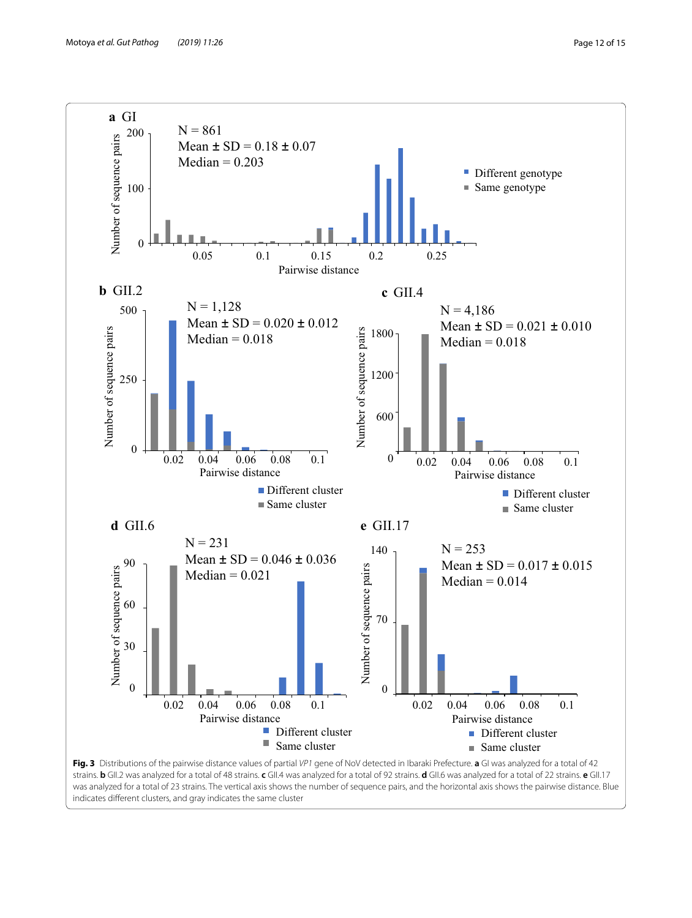

<span id="page-11-0"></span>strains. **b** GII.2 was analyzed for a total of 48 strains. **c** GII.4 was analyzed for a total of 92 strains. **d** GII.6 was analyzed for a total of 22 strains. **e** GII.17 was analyzed for a total of 23 strains. The vertical axis shows the number of sequence pairs, and the horizontal axis shows the pairwise distance. Blue indicates diferent clusters, and gray indicates the same cluster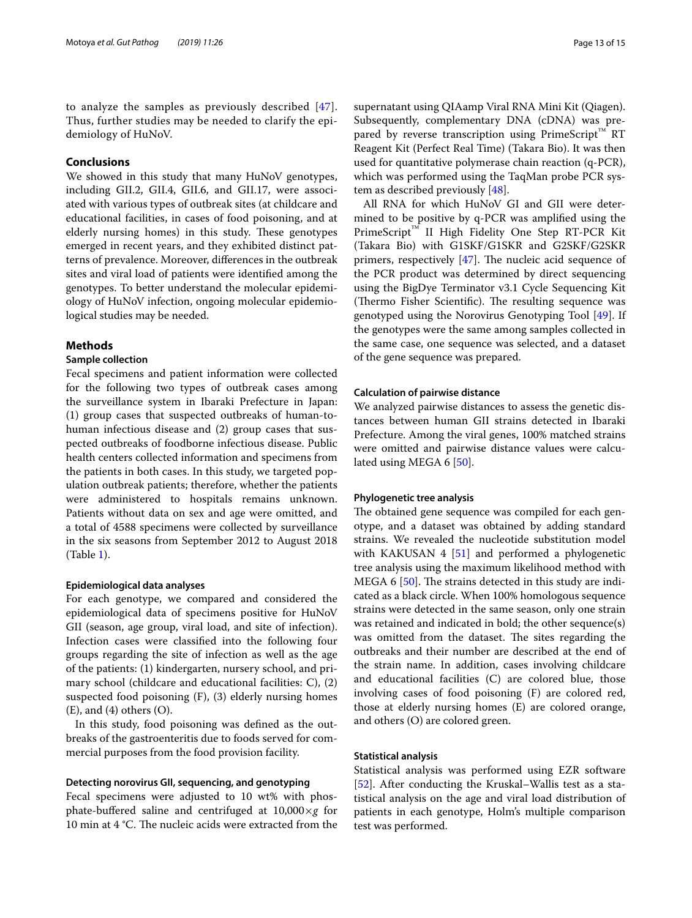to analyze the samples as previously described [[47\]](#page-14-23). Thus, further studies may be needed to clarify the epidemiology of HuNoV.

# **Conclusions**

We showed in this study that many HuNoV genotypes, including GII.2, GII.4, GII.6, and GII.17, were associated with various types of outbreak sites (at childcare and educational facilities, in cases of food poisoning, and at elderly nursing homes) in this study. These genotypes emerged in recent years, and they exhibited distinct patterns of prevalence. Moreover, diferences in the outbreak sites and viral load of patients were identifed among the genotypes. To better understand the molecular epidemiology of HuNoV infection, ongoing molecular epidemiological studies may be needed.

### **Methods**

# **Sample collection**

Fecal specimens and patient information were collected for the following two types of outbreak cases among the surveillance system in Ibaraki Prefecture in Japan: (1) group cases that suspected outbreaks of human-tohuman infectious disease and (2) group cases that suspected outbreaks of foodborne infectious disease. Public health centers collected information and specimens from the patients in both cases. In this study, we targeted population outbreak patients; therefore, whether the patients were administered to hospitals remains unknown. Patients without data on sex and age were omitted, and a total of 4588 specimens were collected by surveillance in the six seasons from September 2012 to August 2018 (Table [1](#page-1-0)).

#### **Epidemiological data analyses**

For each genotype, we compared and considered the epidemiological data of specimens positive for HuNoV GII (season, age group, viral load, and site of infection). Infection cases were classifed into the following four groups regarding the site of infection as well as the age of the patients: (1) kindergarten, nursery school, and primary school (childcare and educational facilities: C), (2) suspected food poisoning (F), (3) elderly nursing homes  $(E)$ , and  $(4)$  others  $(O)$ .

In this study, food poisoning was defned as the outbreaks of the gastroenteritis due to foods served for commercial purposes from the food provision facility.

# **Detecting norovirus GII, sequencing, and genotyping**

Fecal specimens were adjusted to 10 wt% with phosphate-buffered saline and centrifuged at  $10,000\times g$  for 10 min at 4 °C. The nucleic acids were extracted from the supernatant using QIAamp Viral RNA Mini Kit (Qiagen). Subsequently, complementary DNA (cDNA) was prepared by reverse transcription using PrimeScript<sup>™</sup> RT Reagent Kit (Perfect Real Time) (Takara Bio). It was then used for quantitative polymerase chain reaction (q-PCR), which was performed using the TaqMan probe PCR system as described previously [\[48](#page-14-24)].

All RNA for which HuNoV GI and GII were determined to be positive by q-PCR was amplifed using the PrimeScript™ II High Fidelity One Step RT-PCR Kit (Takara Bio) with G1SKF/G1SKR and G2SKF/G2SKR primers, respectively  $[47]$  $[47]$ . The nucleic acid sequence of the PCR product was determined by direct sequencing using the BigDye Terminator v3.1 Cycle Sequencing Kit (Thermo Fisher Scientific). The resulting sequence was genotyped using the Norovirus Genotyping Tool [[49\]](#page-14-25). If the genotypes were the same among samples collected in the same case, one sequence was selected, and a dataset of the gene sequence was prepared.

#### **Calculation of pairwise distance**

We analyzed pairwise distances to assess the genetic distances between human GII strains detected in Ibaraki Prefecture. Among the viral genes, 100% matched strains were omitted and pairwise distance values were calcu-lated using MEGA 6 [\[50\]](#page-14-26).

#### **Phylogenetic tree analysis**

The obtained gene sequence was compiled for each genotype, and a dataset was obtained by adding standard strains. We revealed the nucleotide substitution model with KAKUSAN  $4 \times 51$  and performed a phylogenetic tree analysis using the maximum likelihood method with MEGA 6  $[50]$ . The strains detected in this study are indicated as a black circle. When 100% homologous sequence strains were detected in the same season, only one strain was retained and indicated in bold; the other sequence(s) was omitted from the dataset. The sites regarding the outbreaks and their number are described at the end of the strain name. In addition, cases involving childcare and educational facilities (C) are colored blue, those involving cases of food poisoning (F) are colored red, those at elderly nursing homes (E) are colored orange, and others (O) are colored green.

#### **Statistical analysis**

Statistical analysis was performed using EZR software [[52\]](#page-14-28). After conducting the Kruskal–Wallis test as a statistical analysis on the age and viral load distribution of patients in each genotype, Holm's multiple comparison test was performed.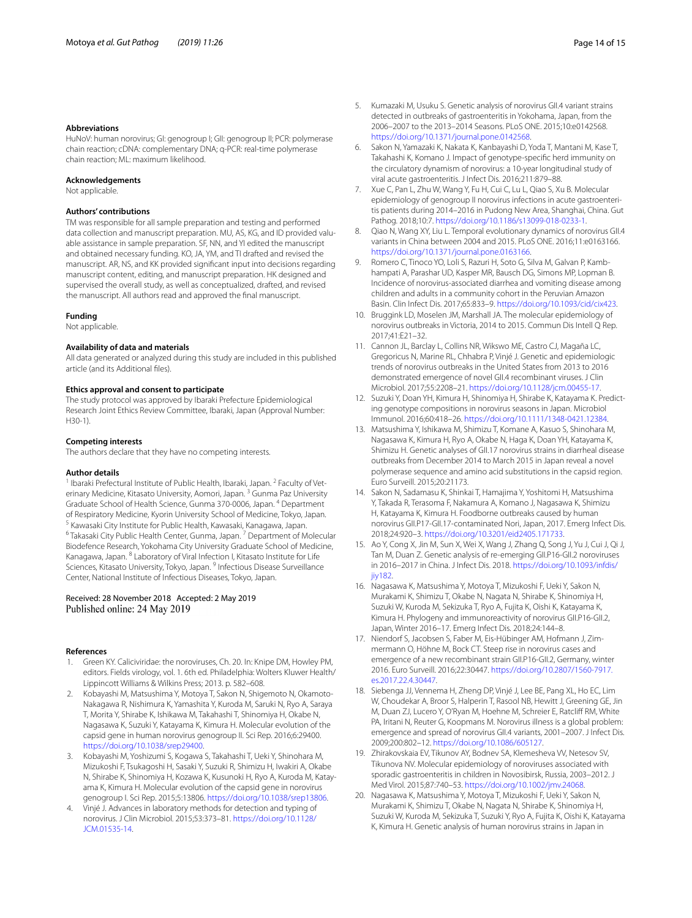#### **Abbreviations**

HuNoV: human norovirus; GI: genogroup I; GII: genogroup II; PCR: polymerase chain reaction; cDNA: complementary DNA; q-PCR: real-time polymerase chain reaction; ML: maximum likelihood.

#### **Acknowledgements**

Not applicable.

#### **Authors' contributions**

TM was responsible for all sample preparation and testing and performed data collection and manuscript preparation. MU, AS, KG, and ID provided valuable assistance in sample preparation. SF, NN, and YI edited the manuscript and obtained necessary funding. KO, JA, YM, and TI drafted and revised the manuscript. AR, NS, and KK provided signifcant input into decisions regarding manuscript content, editing, and manuscript preparation. HK designed and supervised the overall study, as well as conceptualized, drafted, and revised the manuscript. All authors read and approved the fnal manuscript.

#### **Funding**

Not applicable.

#### **Availability of data and materials**

All data generated or analyzed during this study are included in this published article (and its Additional fles).

#### **Ethics approval and consent to participate**

The study protocol was approved by Ibaraki Prefecture Epidemiological Research Joint Ethics Review Committee, Ibaraki, Japan (Approval Number: H30-1).

#### **Competing interests**

The authors declare that they have no competing interests.

#### **Author details**

<sup>1</sup> Ibaraki Prefectural Institute of Public Health, Ibaraki, Japan.<sup>2</sup> Faculty of Veterinary Medicine, Kitasato University, Aomori, Japan. <sup>3</sup> Gunma Paz University Graduate School of Health Science, Gunma 370‑0006, Japan. 4 Department of Respiratory Medicine, Kyorin University School of Medicine, Tokyo, Japan.<br><sup>5</sup> Kawasaki City Institute for Public Health, Kawasaki, Kanagawa, Japan.<br><sup>6</sup> Takasaki City Public Health Center, Gunma, Japan. <sup>7</sup> Department of Biodefence Research, Yokohama City University Graduate School of Medicine, Kanagawa, Japan. <sup>8</sup> Laboratory of Viral Infection I, Kitasato Institute for Life Sciences, Kitasato University, Tokyo, Japan. 9 Infectious Disease Surveillance Center, National Institute of Infectious Diseases, Tokyo, Japan.

#### Received: 28 November 2018 Accepted: 2 May 2019 Published online: 24 May 2019

#### **References**

- <span id="page-13-0"></span>1. Green KY. Caliciviridae: the noroviruses, Ch. 20. In: Knipe DM, Howley PM, editors. Fields virology, vol. 1. 6th ed. Philadelphia: Wolters Kluwer Health/ Lippincott Williams & Wilkins Press; 2013. p. 582–608.
- <span id="page-13-1"></span>2. Kobayashi M, Matsushima Y, Motoya T, Sakon N, Shigemoto N, Okamoto-Nakagawa R, Nishimura K, Yamashita Y, Kuroda M, Saruki N, Ryo A, Saraya T, Morita Y, Shirabe K, Ishikawa M, Takahashi T, Shinomiya H, Okabe N, Nagasawa K, Suzuki Y, Katayama K, Kimura H. Molecular evolution of the capsid gene in human norovirus genogroup II. Sci Rep. 2016;6:29400. [https://doi.org/10.1038/srep29400.](https://doi.org/10.1038/srep29400)
- <span id="page-13-2"></span>3. Kobayashi M, Yoshizumi S, Kogawa S, Takahashi T, Ueki Y, Shinohara M, Mizukoshi F, Tsukagoshi H, Sasaki Y, Suzuki R, Shimizu H, Iwakiri A, Okabe N, Shirabe K, Shinomiya H, Kozawa K, Kusunoki H, Ryo A, Kuroda M, Katay‑ ama K, Kimura H. Molecular evolution of the capsid gene in norovirus genogroup I. Sci Rep. 2015;5:13806.<https://doi.org/10.1038/srep13806>.
- <span id="page-13-3"></span>4. Vinjé J. Advances in laboratory methods for detection and typing of norovirus. J Clin Microbiol. 2015;53:373–81. [https://doi.org/10.1128/](https://doi.org/10.1128/JCM.01535-14) [JCM.01535-14.](https://doi.org/10.1128/JCM.01535-14)
- <span id="page-13-4"></span>5. Kumazaki M, Usuku S. Genetic analysis of norovirus GII.4 variant strains detected in outbreaks of gastroenteritis in Yokohama, Japan, from the 2006–2007 to the 2013–2014 Seasons. PLoS ONE. 2015;10:e0142568. <https://doi.org/10.1371/journal.pone.0142568>.
- <span id="page-13-17"></span>6. Sakon N, Yamazaki K, Nakata K, Kanbayashi D, Yoda T, Mantani M, Kase T, Takahashi K, Komano J. Impact of genotype-specifc herd immunity on the circulatory dynamism of norovirus: a 10-year longitudinal study of viral acute gastroenteritis. J Infect Dis. 2016;211:879–88.
- <span id="page-13-5"></span>Xue C, Pan L, Zhu W, Wang Y, Fu H, Cui C, Lu L, Qiao S, Xu B. Molecular epidemiology of genogroup II norovirus infections in acute gastroenteritis patients during 2014–2016 in Pudong New Area, Shanghai, China. Gut Pathog. 2018;10:7.<https://doi.org/10.1186/s13099-018-0233-1>.
- <span id="page-13-6"></span>8. Qiao N, Wang XY, Liu L. Temporal evolutionary dynamics of norovirus GII.4 variants in China between 2004 and 2015. PLoS ONE. 2016;11:e0163166. <https://doi.org/10.1371/journal.pone.0163166>.
- <span id="page-13-7"></span>Romero C, Tinoco YO, Loli S, Razuri H, Soto G, Silva M, Galvan P, Kambhampati A, Parashar UD, Kasper MR, Bausch DG, Simons MP, Lopman B. Incidence of norovirus-associated diarrhea and vomiting disease among children and adults in a community cohort in the Peruvian Amazon Basin. Clin Infect Dis. 2017;65:833–9. [https://doi.org/10.1093/cid/cix423.](https://doi.org/10.1093/cid/cix423)
- <span id="page-13-8"></span>10. Bruggink LD, Moselen JM, Marshall JA. The molecular epidemiology of norovirus outbreaks in Victoria, 2014 to 2015. Commun Dis Intell Q Rep. 2017;41:E21–32.
- 11. Cannon JL, Barclay L, Collins NR, Wikswo ME, Castro CJ, Magaña LC, Gregoricus N, Marine RL, Chhabra P, Vinjé J. Genetic and epidemiologic trends of norovirus outbreaks in the United States from 2013 to 2016 demonstrated emergence of novel GII.4 recombinant viruses. J Clin Microbiol. 2017;55:2208–21.<https://doi.org/10.1128/jcm.00455-17>.
- <span id="page-13-9"></span>12. Suzuki Y, Doan YH, Kimura H, Shinomiya H, Shirabe K, Katayama K. Predicting genotype compositions in norovirus seasons in Japan. Microbiol Immunol. 2016;60:418–26. [https://doi.org/10.1111/1348-0421.12384.](https://doi.org/10.1111/1348-0421.12384)
- <span id="page-13-10"></span>13. Matsushima Y, Ishikawa M, Shimizu T, Komane A, Kasuo S, Shinohara M, Nagasawa K, Kimura H, Ryo A, Okabe N, Haga K, Doan YH, Katayama K, Shimizu H. Genetic analyses of GII.17 norovirus strains in diarrheal disease outbreaks from December 2014 to March 2015 in Japan reveal a novel polymerase sequence and amino acid substitutions in the capsid region. Euro Surveill. 2015;20:21173.
- <span id="page-13-11"></span>14. Sakon N, Sadamasu K, Shinkai T, Hamajima Y, Yoshitomi H, Matsushima Y, Takada R, Terasoma F, Nakamura A, Komano J, Nagasawa K, Shimizu H, Katayama K, Kimura H. Foodborne outbreaks caused by human norovirus GII.P17-GII.17-contaminated Nori, Japan, 2017. Emerg Infect Dis. 2018;24:920–3. [https://doi.org/10.3201/eid2405.171733.](https://doi.org/10.3201/eid2405.171733)
- <span id="page-13-12"></span>15. Ao Y, Cong X, Jin M, Sun X, Wei X, Wang J, Zhang Q, Song J, Yu J, Cui J, Qi J, Tan M, Duan Z. Genetic analysis of re-emerging GII.P16-GII.2 noroviruses in 2016–2017 in China. J Infect Dis. 2018. [https://doi.org/10.1093/infdis/](https://doi.org/10.1093/infdis/jiy182) [jiy182](https://doi.org/10.1093/infdis/jiy182).
- <span id="page-13-18"></span>16. Nagasawa K, Matsushima Y, Motoya T, Mizukoshi F, Ueki Y, Sakon N, Murakami K, Shimizu T, Okabe N, Nagata N, Shirabe K, Shinomiya H, Suzuki W, Kuroda M, Sekizuka T, Ryo A, Fujita K, Oishi K, Katayama K, Kimura H. Phylogeny and immunoreactivity of norovirus GII.P16-GII.2, Japan, Winter 2016–17. Emerg Infect Dis. 2018;24:144–8.
- <span id="page-13-13"></span>17. Niendorf S, Jacobsen S, Faber M, Eis-Hübinger AM, Hofmann J, Zimmermann O, Höhne M, Bock CT. Steep rise in norovirus cases and emergence of a new recombinant strain GII.P16-GII.2, Germany, winter 2016. Euro Surveill. 2016;22:30447. [https://doi.org/10.2807/1560-7917.](https://doi.org/10.2807/1560-7917.es.2017.22.4.30447) [es.2017.22.4.30447](https://doi.org/10.2807/1560-7917.es.2017.22.4.30447).
- <span id="page-13-14"></span>18. Siebenga JJ, Vennema H, Zheng DP, Vinjé J, Lee BE, Pang XL, Ho EC, Lim W, Choudekar A, Broor S, Halperin T, Rasool NB, Hewitt J, Greening GE, Jin M, Duan ZJ, Lucero Y, O'Ryan M, Hoehne M, Schreier E, Ratcliff RM, White PA, Iritani N, Reuter G, Koopmans M. Norovirus illness is a global problem: emergence and spread of norovirus GII.4 variants, 2001–2007. J Infect Dis. 2009;200:802–12. [https://doi.org/10.1086/605127.](https://doi.org/10.1086/605127)
- <span id="page-13-15"></span>19. Zhirakovskaia EV, Tikunov AY, Bodnev SA, Klemesheva VV, Netesov SV, Tikunova NV. Molecular epidemiology of noroviruses associated with sporadic gastroenteritis in children in Novosibirsk, Russia, 2003–2012. J Med Virol. 2015;87:740–53.<https://doi.org/10.1002/jmv.24068>.
- <span id="page-13-16"></span>20. Nagasawa K, Matsushima Y, Motoya T, Mizukoshi F, Ueki Y, Sakon N, Murakami K, Shimizu T, Okabe N, Nagata N, Shirabe K, Shinomiya H, Suzuki W, Kuroda M, Sekizuka T, Suzuki Y, Ryo A, Fujita K, Oishi K, Katayama K, Kimura H. Genetic analysis of human norovirus strains in Japan in